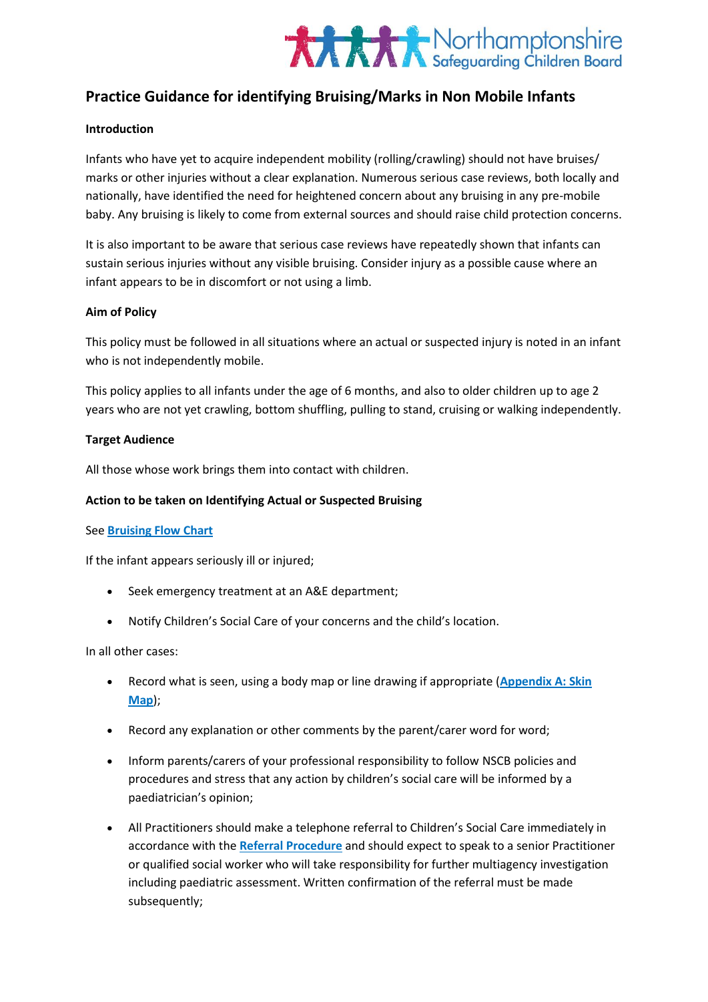

# **Practice Guidance for identifying Bruising/Marks in Non Mobile Infants**

### **Introduction**

Infants who have yet to acquire independent mobility (rolling/crawling) should not have bruises/ marks or other injuries without a clear explanation. Numerous serious case reviews, both locally and nationally, have identified the need for heightened concern about any bruising in any pre-mobile baby. Any bruising is likely to come from external sources and should raise child protection concerns.

It is also important to be aware that serious case reviews have repeatedly shown that infants can sustain serious injuries without any visible bruising. Consider injury as a possible cause where an infant appears to be in discomfort or not using a limb.

#### **Aim of Policy**

This policy must be followed in all situations where an actual or suspected injury is noted in an infant who is not independently mobile.

This policy applies to all infants under the age of 6 months, and also to older children up to age 2 years who are not yet crawling, bottom shuffling, pulling to stand, cruising or walking independently.

#### **Target Audience**

All those whose work brings them into contact with children.

# **Action to be taken on Identifying Actual or Suspected Bruising**

#### See **Bruising Flow Chart**

If the infant appears seriously ill or injured;

- Seek emergency treatment at an A&E department;
- Notify Children's Social Care of your concerns and the child's location.

In all other cases:

- Record what is seen, using a body map or line drawing if appropriate (**Appendix A: Skin Map**);
- Record any explanation or other comments by the parent/carer word for word;
- Inform parents/carers of your professional responsibility to follow NSCB policies and procedures and stress that any action by children's social care will be informed by a paediatrician's opinion;
- All Practitioners should make a telephone referral to Children's Social Care immediately in accordance with the **[Referral Procedure](http://northamptonshirescb.proceduresonline.com/chapters/p_referrals.html)** and should expect to speak to a senior Practitioner or qualified social worker who will take responsibility for further multiagency investigation including paediatric assessment. Written confirmation of the referral must be made subsequently;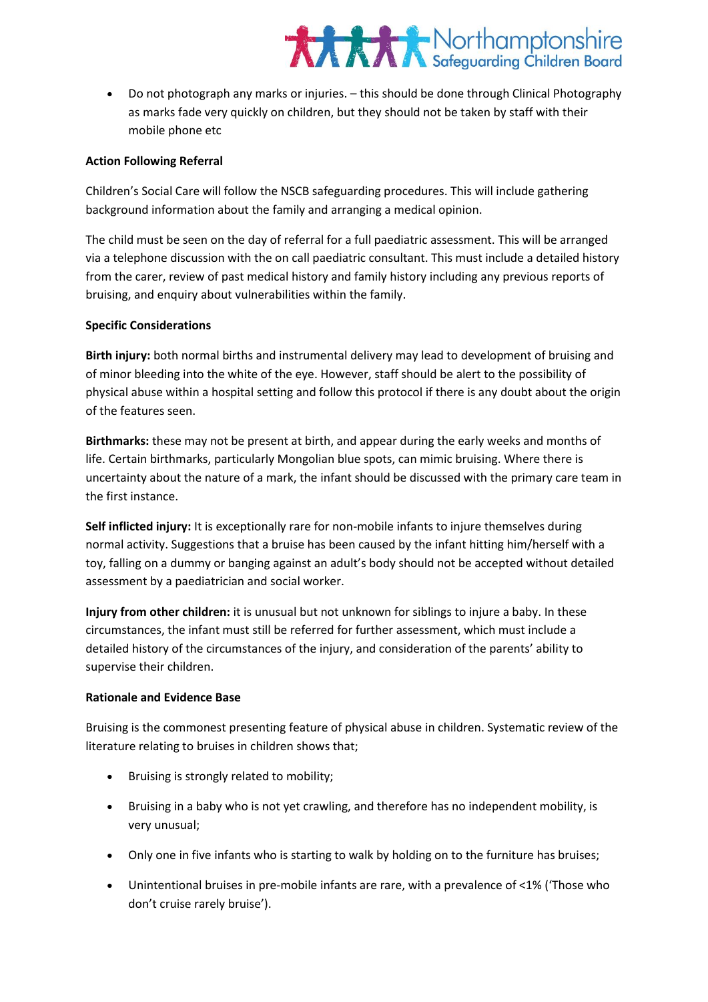# **XXXX** Northamptonshire

 Do not photograph any marks or injuries. – this should be done through Clinical Photography as marks fade very quickly on children, but they should not be taken by staff with their mobile phone etc

# **Action Following Referral**

Children's Social Care will follow the NSCB safeguarding procedures. This will include gathering background information about the family and arranging a medical opinion.

The child must be seen on the day of referral for a full paediatric assessment. This will be arranged via a telephone discussion with the on call paediatric consultant. This must include a detailed history from the carer, review of past medical history and family history including any previous reports of bruising, and enquiry about vulnerabilities within the family.

## **Specific Considerations**

**Birth injury:** both normal births and instrumental delivery may lead to development of bruising and of minor bleeding into the white of the eye. However, staff should be alert to the possibility of physical abuse within a hospital setting and follow this protocol if there is any doubt about the origin of the features seen.

**Birthmarks:** these may not be present at birth, and appear during the early weeks and months of life. Certain birthmarks, particularly Mongolian blue spots, can mimic bruising. Where there is uncertainty about the nature of a mark, the infant should be discussed with the primary care team in the first instance.

**Self inflicted injury:** It is exceptionally rare for non-mobile infants to injure themselves during normal activity. Suggestions that a bruise has been caused by the infant hitting him/herself with a toy, falling on a dummy or banging against an adult's body should not be accepted without detailed assessment by a paediatrician and social worker.

**Injury from other children:** it is unusual but not unknown for siblings to injure a baby. In these circumstances, the infant must still be referred for further assessment, which must include a detailed history of the circumstances of the injury, and consideration of the parents' ability to supervise their children.

### **Rationale and Evidence Base**

Bruising is the commonest presenting feature of physical abuse in children. Systematic review of the literature relating to bruises in children shows that;

- Bruising is strongly related to mobility;
- Bruising in a baby who is not yet crawling, and therefore has no independent mobility, is very unusual;
- Only one in five infants who is starting to walk by holding on to the furniture has bruises;
- Unintentional bruises in pre-mobile infants are rare, with a prevalence of <1% ('Those who don't cruise rarely bruise').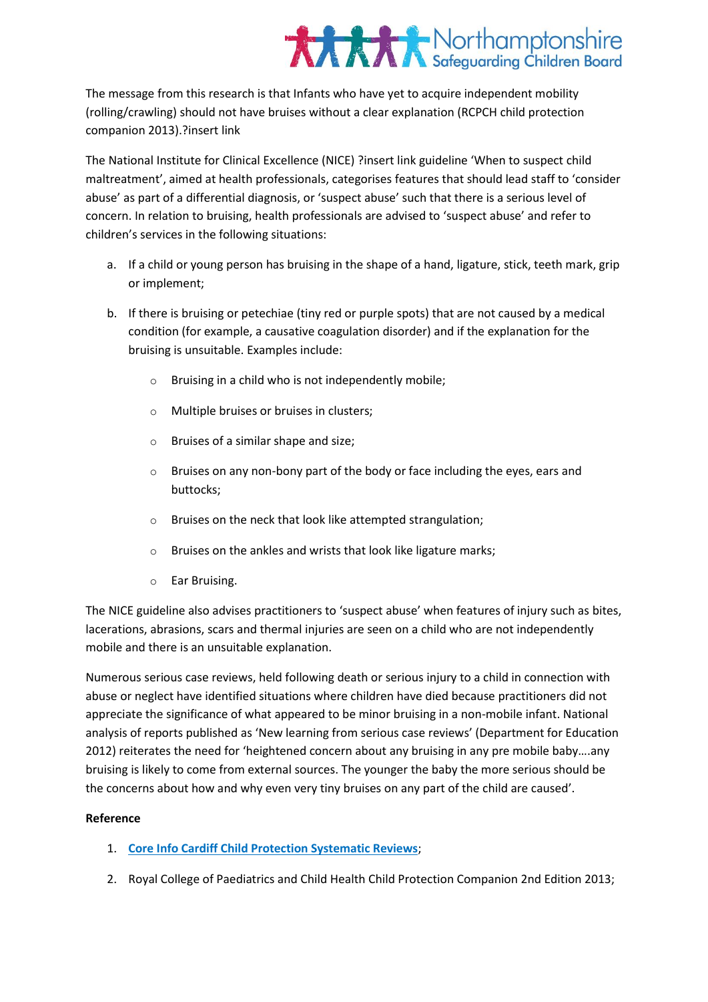# **XXXX** Northamptonshire

The message from this research is that Infants who have yet to acquire independent mobility (rolling/crawling) should not have bruises without a clear explanation (RCPCH child protection companion 2013).?insert link

The National Institute for Clinical Excellence (NICE) ?insert link guideline 'When to suspect child maltreatment', aimed at health professionals, categorises features that should lead staff to 'consider abuse' as part of a differential diagnosis, or 'suspect abuse' such that there is a serious level of concern. In relation to bruising, health professionals are advised to 'suspect abuse' and refer to children's services in the following situations:

- a. If a child or young person has bruising in the shape of a hand, ligature, stick, teeth mark, grip or implement;
- b. If there is bruising or petechiae (tiny red or purple spots) that are not caused by a medical condition (for example, a causative coagulation disorder) and if the explanation for the bruising is unsuitable. Examples include:
	- o Bruising in a child who is not independently mobile;
	- o Multiple bruises or bruises in clusters;
	- o Bruises of a similar shape and size;
	- o Bruises on any non-bony part of the body or face including the eyes, ears and buttocks;
	- Bruises on the neck that look like attempted strangulation;
	- o Bruises on the ankles and wrists that look like ligature marks;
	- o Ear Bruising.

The NICE guideline also advises practitioners to 'suspect abuse' when features of injury such as bites, lacerations, abrasions, scars and thermal injuries are seen on a child who are not independently mobile and there is an unsuitable explanation.

Numerous serious case reviews, held following death or serious injury to a child in connection with abuse or neglect have identified situations where children have died because practitioners did not appreciate the significance of what appeared to be minor bruising in a non-mobile infant. National analysis of reports published as 'New learning from serious case reviews' (Department for Education 2012) reiterates the need for 'heightened concern about any bruising in any pre mobile baby….any bruising is likely to come from external sources. The younger the baby the more serious should be the concerns about how and why even very tiny bruises on any part of the child are caused'.

# **Reference**

- 1. **[Core Info Cardiff Child Protection Systematic Reviews](http://www.core-info.cardiff.ac.uk/)**;
- 2. Royal College of Paediatrics and Child Health Child Protection Companion 2nd Edition 2013;